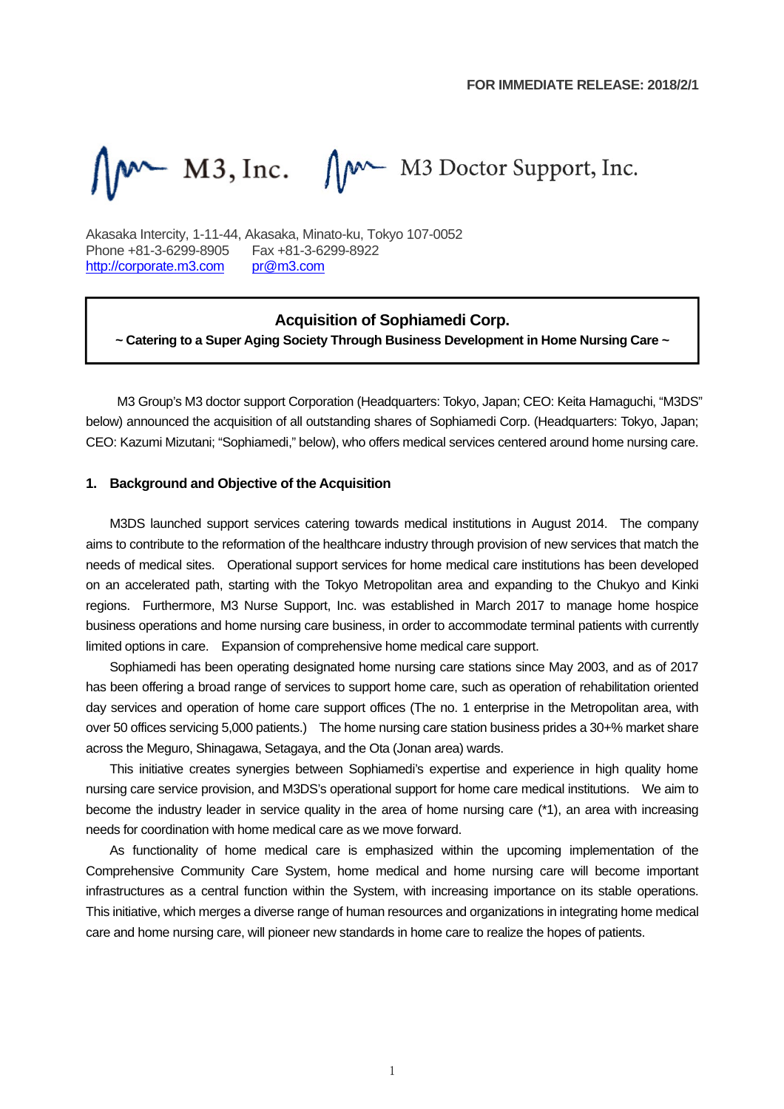$M^*$  M3, Inc.  $\bigwedge^{M^*} M3$  Doctor Support, Inc.

Akasaka Intercity, 1-11-44, Akasaka, Minato-ku, Tokyo 107-0052 Phone +81-3-6299-8905 Fax +81-3-6299-8922 http://corporate.m3.com pr@m3.com

### **Acquisition of Sophiamedi Corp.**

**~ Catering to a Super Aging Society Through Business Development in Home Nursing Care ~**

M3 Group's M3 doctor support Corporation (Headquarters: Tokyo, Japan; CEO: Keita Hamaguchi, "M3DS" below) announced the acquisition of all outstanding shares of Sophiamedi Corp. (Headquarters: Tokyo, Japan; CEO: Kazumi Mizutani; "Sophiamedi," below), who offers medical services centered around home nursing care.

#### **1. Background and Objective of the Acquisition**

M3DS launched support services catering towards medical institutions in August 2014. The company aims to contribute to the reformation of the healthcare industry through provision of new services that match the needs of medical sites. Operational support services for home medical care institutions has been developed on an accelerated path, starting with the Tokyo Metropolitan area and expanding to the Chukyo and Kinki regions. Furthermore, M3 Nurse Support, Inc. was established in March 2017 to manage home hospice business operations and home nursing care business, in order to accommodate terminal patients with currently limited options in care. Expansion of comprehensive home medical care support.

Sophiamedi has been operating designated home nursing care stations since May 2003, and as of 2017 has been offering a broad range of services to support home care, such as operation of rehabilitation oriented day services and operation of home care support offices (The no. 1 enterprise in the Metropolitan area, with over 50 offices servicing 5,000 patients.) The home nursing care station business prides a 30+% market share across the Meguro, Shinagawa, Setagaya, and the Ota (Jonan area) wards.

This initiative creates synergies between Sophiamedi's expertise and experience in high quality home nursing care service provision, and M3DS's operational support for home care medical institutions. We aim to become the industry leader in service quality in the area of home nursing care (\*1), an area with increasing needs for coordination with home medical care as we move forward.

As functionality of home medical care is emphasized within the upcoming implementation of the Comprehensive Community Care System, home medical and home nursing care will become important infrastructures as a central function within the System, with increasing importance on its stable operations. This initiative, which merges a diverse range of human resources and organizations in integrating home medical care and home nursing care, will pioneer new standards in home care to realize the hopes of patients.